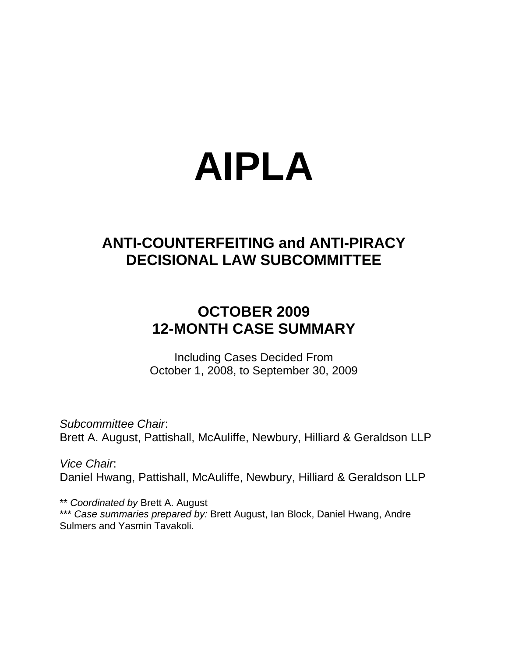# **AIPLA**

## **ANTI-COUNTERFEITING and ANTI-PIRACY DECISIONAL LAW SUBCOMMITTEE**

## **OCTOBER 2009 12-MONTH CASE SUMMARY**

Including Cases Decided From October 1, 2008, to September 30, 2009

*Subcommittee Chair*: Brett A. August, Pattishall, McAuliffe, Newbury, Hilliard & Geraldson LLP

*Vice Chair*: Daniel Hwang, Pattishall, McAuliffe, Newbury, Hilliard & Geraldson LLP

\*\* *Coordinated by* Brett A. August \*\*\* *Case summaries prepared by:* Brett August, Ian Block, Daniel Hwang, Andre Sulmers and Yasmin Tavakoli.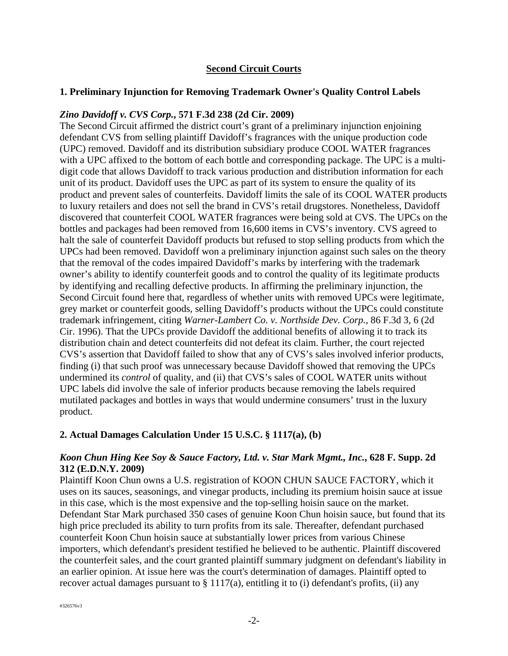#### **Second Circuit Courts**

#### **1. Preliminary Injunction for Removing Trademark Owner's Quality Control Labels**

#### *Zino Davidoff v. CVS Corp.***, 571 F.3d 238 (2d Cir. 2009)**

The Second Circuit affirmed the district court's grant of a preliminary injunction enjoining defendant CVS from selling plaintiff Davidoff's fragrances with the unique production code (UPC) removed. Davidoff and its distribution subsidiary produce COOL WATER fragrances with a UPC affixed to the bottom of each bottle and corresponding package. The UPC is a multidigit code that allows Davidoff to track various production and distribution information for each unit of its product. Davidoff uses the UPC as part of its system to ensure the quality of its product and prevent sales of counterfeits. Davidoff limits the sale of its COOL WATER products to luxury retailers and does not sell the brand in CVS's retail drugstores. Nonetheless, Davidoff discovered that counterfeit COOL WATER fragrances were being sold at CVS. The UPCs on the bottles and packages had been removed from 16,600 items in CVS's inventory. CVS agreed to halt the sale of counterfeit Davidoff products but refused to stop selling products from which the UPCs had been removed. Davidoff won a preliminary injunction against such sales on the theory that the removal of the codes impaired Davidoff's marks by interfering with the trademark owner's ability to identify counterfeit goods and to control the quality of its legitimate products by identifying and recalling defective products. In affirming the preliminary injunction, the Second Circuit found here that, regardless of whether units with removed UPCs were legitimate, grey market or counterfeit goods, selling Davidoff's products without the UPCs could constitute trademark infringement, citing *Warner-Lambert Co. v. Northside Dev. Corp.*, 86 F.3d 3, 6 (2d Cir. 1996). That the UPCs provide Davidoff the additional benefits of allowing it to track its distribution chain and detect counterfeits did not defeat its claim. Further, the court rejected CVS's assertion that Davidoff failed to show that any of CVS's sales involved inferior products, finding (i) that such proof was unnecessary because Davidoff showed that removing the UPCs undermined its *control* of quality, and (ii) that CVS's sales of COOL WATER units without UPC labels did involve the sale of inferior products because removing the labels required mutilated packages and bottles in ways that would undermine consumers' trust in the luxury product.

#### **2. Actual Damages Calculation Under 15 U.S.C. § 1117(a), (b)**

#### *Koon Chun Hing Kee Soy & Sauce Factory, Ltd. v. Star Mark Mgmt., Inc.***, 628 F. Supp. 2d 312 (E.D.N.Y. 2009)**

Plaintiff Koon Chun owns a U.S. registration of KOON CHUN SAUCE FACTORY, which it uses on its sauces, seasonings, and vinegar products, including its premium hoisin sauce at issue in this case, which is the most expensive and the top-selling hoisin sauce on the market. Defendant Star Mark purchased 350 cases of genuine Koon Chun hoisin sauce, but found that its high price precluded its ability to turn profits from its sale. Thereafter, defendant purchased counterfeit Koon Chun hoisin sauce at substantially lower prices from various Chinese importers, which defendant's president testified he believed to be authentic. Plaintiff discovered the counterfeit sales, and the court granted plaintiff summary judgment on defendant's liability in an earlier opinion. At issue here was the court's determination of damages. Plaintiff opted to recover actual damages pursuant to  $\S 1117(a)$ , entitling it to (i) defendant's profits, (ii) any

#326576v3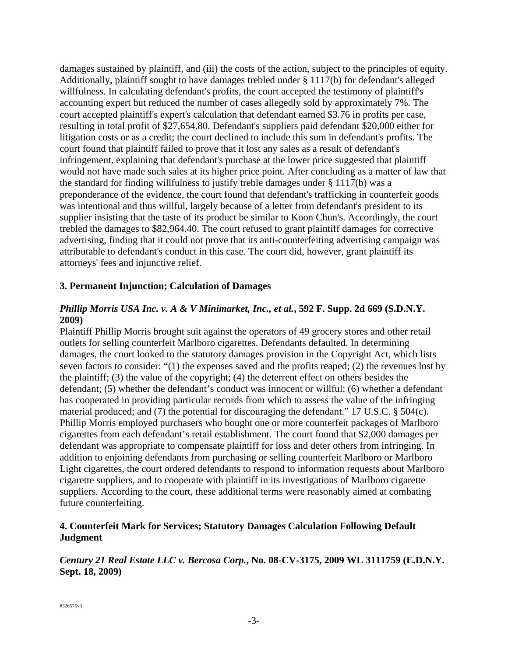damages sustained by plaintiff, and (iii) the costs of the action, subject to the principles of equity. Additionally, plaintiff sought to have damages trebled under § 1117(b) for defendant's alleged willfulness. In calculating defendant's profits, the court accepted the testimony of plaintiff's accounting expert but reduced the number of cases allegedly sold by approximately 7%. The court accepted plaintiff's expert's calculation that defendant earned \$3.76 in profits per case, resulting in total profit of \$27,654.80. Defendant's suppliers paid defendant \$20,000 either for litigation costs or as a credit; the court declined to include this sum in defendant's profits. The court found that plaintiff failed to prove that it lost any sales as a result of defendant's infringement, explaining that defendant's purchase at the lower price suggested that plaintiff would not have made such sales at its higher price point. After concluding as a matter of law that the standard for finding willfulness to justify treble damages under § 1117(b) was a preponderance of the evidence, the court found that defendant's trafficking in counterfeit goods was intentional and thus willful, largely because of a letter from defendant's president to its supplier insisting that the taste of its product be similar to Koon Chun's. Accordingly, the court trebled the damages to \$82,964.40. The court refused to grant plaintiff damages for corrective advertising, finding that it could not prove that its anti-counterfeiting advertising campaign was attributable to defendant's conduct in this case. The court did, however, grant plaintiff its attorneys' fees and injunctive relief.

#### **3. Permanent Injunction; Calculation of Damages**

#### *Phillip Morris USA Inc. v. A & V Minimarket, Inc., et al.***, 592 F. Supp. 2d 669 (S.D.N.Y. 2009)**

Plaintiff Phillip Morris brought suit against the operators of 49 grocery stores and other retail outlets for selling counterfeit Marlboro cigarettes. Defendants defaulted. In determining damages, the court looked to the statutory damages provision in the Copyright Act, which lists seven factors to consider: "(1) the expenses saved and the profits reaped; (2) the revenues lost by the plaintiff; (3) the value of the copyright; (4) the deterrent effect on others besides the defendant; (5) whether the defendant's conduct was innocent or willful; (6) whether a defendant has cooperated in providing particular records from which to assess the value of the infringing material produced; and (7) the potential for discouraging the defendant." 17 U.S.C. § 504(c). Phillip Morris employed purchasers who bought one or more counterfeit packages of Marlboro cigarettes from each defendant's retail establishment. The court found that \$2,000 damages per defendant was appropriate to compensate plaintiff for loss and deter others from infringing. In addition to enjoining defendants from purchasing or selling counterfeit Marlboro or Marlboro Light cigarettes, the court ordered defendants to respond to information requests about Marlboro cigarette suppliers, and to cooperate with plaintiff in its investigations of Marlboro cigarette suppliers. According to the court, these additional terms were reasonably aimed at combating future counterfeiting.

#### **4. Counterfeit Mark for Services; Statutory Damages Calculation Following Default Judgment**

#### *Century 21 Real Estate LLC v. Bercosa Corp.***, No. 08-CV-3175, 2009 WL 3111759 (E.D.N.Y. Sept. 18, 2009)**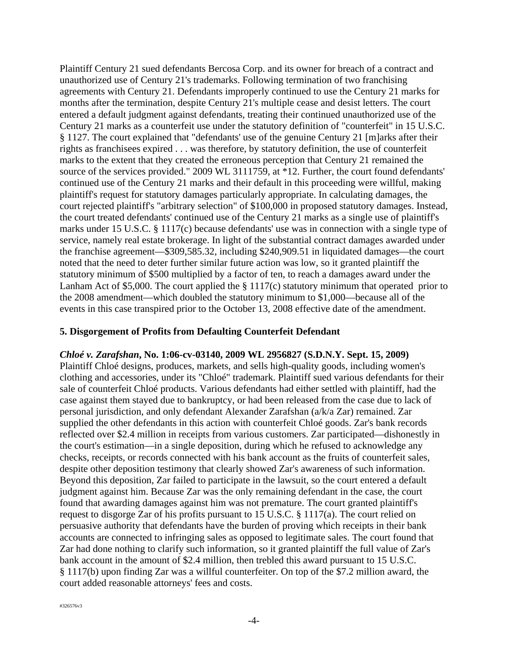Plaintiff Century 21 sued defendants Bercosa Corp. and its owner for breach of a contract and unauthorized use of Century 21's trademarks. Following termination of two franchising agreements with Century 21. Defendants improperly continued to use the Century 21 marks for months after the termination, despite Century 21's multiple cease and desist letters. The court entered a default judgment against defendants, treating their continued unauthorized use of the Century 21 marks as a counterfeit use under the statutory definition of "counterfeit" in 15 U.S.C. § 1127. The court explained that "defendants' use of the genuine Century 21 [m]arks after their rights as franchisees expired . . . was therefore, by statutory definition, the use of counterfeit marks to the extent that they created the erroneous perception that Century 21 remained the source of the services provided." 2009 WL 3111759, at \*12. Further, the court found defendants' continued use of the Century 21 marks and their default in this proceeding were willful, making plaintiff's request for statutory damages particularly appropriate. In calculating damages, the court rejected plaintiff's "arbitrary selection" of \$100,000 in proposed statutory damages. Instead, the court treated defendants' continued use of the Century 21 marks as a single use of plaintiff's marks under 15 U.S.C. § 1117(c) because defendants' use was in connection with a single type of service, namely real estate brokerage. In light of the substantial contract damages awarded under the franchise agreement—\$309,585.32, including \$240,909.51 in liquidated damages—the court noted that the need to deter further similar future action was low, so it granted plaintiff the statutory minimum of \$500 multiplied by a factor of ten, to reach a damages award under the Lanham Act of \$5,000. The court applied the § 1117(c) statutory minimum that operated prior to the 2008 amendment—which doubled the statutory minimum to \$1,000—because all of the events in this case transpired prior to the October 13, 2008 effective date of the amendment.

#### **5. Disgorgement of Profits from Defaulting Counterfeit Defendant**

#### *Chloé v. Zarafshan***, No. 1:06-cv-03140, 2009 WL 2956827 (S.D.N.Y. Sept. 15, 2009)**

Plaintiff Chloé designs, produces, markets, and sells high-quality goods, including women's clothing and accessories, under its "Chloé" trademark. Plaintiff sued various defendants for their sale of counterfeit Chloé products. Various defendants had either settled with plaintiff, had the case against them stayed due to bankruptcy, or had been released from the case due to lack of personal jurisdiction, and only defendant Alexander Zarafshan (a/k/a Zar) remained. Zar supplied the other defendants in this action with counterfeit Chloé goods. Zar's bank records reflected over \$2.4 million in receipts from various customers. Zar participated—dishonestly in the court's estimation—in a single deposition, during which he refused to acknowledge any checks, receipts, or records connected with his bank account as the fruits of counterfeit sales, despite other deposition testimony that clearly showed Zar's awareness of such information. Beyond this deposition, Zar failed to participate in the lawsuit, so the court entered a default judgment against him. Because Zar was the only remaining defendant in the case, the court found that awarding damages against him was not premature. The court granted plaintiff's request to disgorge Zar of his profits pursuant to 15 U.S.C. § 1117(a). The court relied on persuasive authority that defendants have the burden of proving which receipts in their bank accounts are connected to infringing sales as opposed to legitimate sales. The court found that Zar had done nothing to clarify such information, so it granted plaintiff the full value of Zar's bank account in the amount of \$2.4 million, then trebled this award pursuant to 15 U.S.C. § 1117(b) upon finding Zar was a willful counterfeiter. On top of the \$7.2 million award, the court added reasonable attorneys' fees and costs.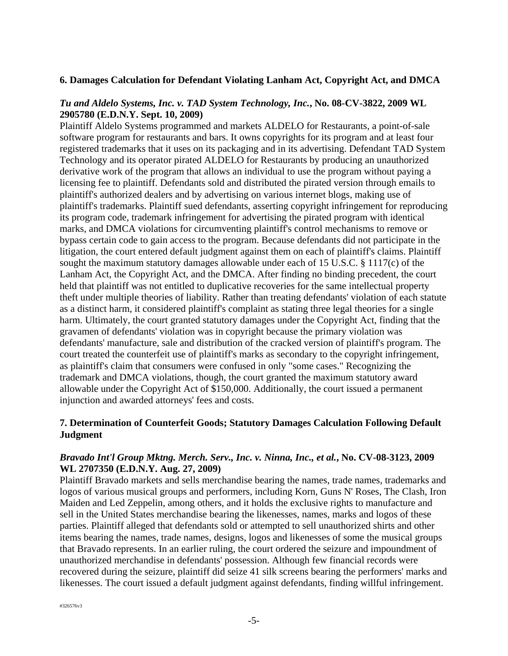#### **6. Damages Calculation for Defendant Violating Lanham Act, Copyright Act, and DMCA**

#### *Tu and Aldelo Systems, Inc. v. TAD System Technology, Inc.***, No. 08-CV-3822, 2009 WL 2905780 (E.D.N.Y. Sept. 10, 2009)**

Plaintiff Aldelo Systems programmed and markets ALDELO for Restaurants, a point-of-sale software program for restaurants and bars. It owns copyrights for its program and at least four registered trademarks that it uses on its packaging and in its advertising. Defendant TAD System Technology and its operator pirated ALDELO for Restaurants by producing an unauthorized derivative work of the program that allows an individual to use the program without paying a licensing fee to plaintiff. Defendants sold and distributed the pirated version through emails to plaintiff's authorized dealers and by advertising on various internet blogs, making use of plaintiff's trademarks. Plaintiff sued defendants, asserting copyright infringement for reproducing its program code, trademark infringement for advertising the pirated program with identical marks, and DMCA violations for circumventing plaintiff's control mechanisms to remove or bypass certain code to gain access to the program. Because defendants did not participate in the litigation, the court entered default judgment against them on each of plaintiff's claims. Plaintiff sought the maximum statutory damages allowable under each of 15 U.S.C. § 1117(c) of the Lanham Act, the Copyright Act, and the DMCA. After finding no binding precedent, the court held that plaintiff was not entitled to duplicative recoveries for the same intellectual property theft under multiple theories of liability. Rather than treating defendants' violation of each statute as a distinct harm, it considered plaintiff's complaint as stating three legal theories for a single harm. Ultimately, the court granted statutory damages under the Copyright Act, finding that the gravamen of defendants' violation was in copyright because the primary violation was defendants' manufacture, sale and distribution of the cracked version of plaintiff's program. The court treated the counterfeit use of plaintiff's marks as secondary to the copyright infringement, as plaintiff's claim that consumers were confused in only "some cases." Recognizing the trademark and DMCA violations, though, the court granted the maximum statutory award allowable under the Copyright Act of \$150,000. Additionally, the court issued a permanent injunction and awarded attorneys' fees and costs.

#### **7. Determination of Counterfeit Goods; Statutory Damages Calculation Following Default Judgment**

#### *Bravado Int'l Group Mktng. Merch. Serv., Inc. v. Ninna, Inc., et al.***, No. CV-08-3123, 2009 WL 2707350 (E.D.N.Y. Aug. 27, 2009)**

Plaintiff Bravado markets and sells merchandise bearing the names, trade names, trademarks and logos of various musical groups and performers, including Korn, Guns N' Roses, The Clash, Iron Maiden and Led Zeppelin, among others, and it holds the exclusive rights to manufacture and sell in the United States merchandise bearing the likenesses, names, marks and logos of these parties. Plaintiff alleged that defendants sold or attempted to sell unauthorized shirts and other items bearing the names, trade names, designs, logos and likenesses of some the musical groups that Bravado represents. In an earlier ruling, the court ordered the seizure and impoundment of unauthorized merchandise in defendants' possession. Although few financial records were recovered during the seizure, plaintiff did seize 41 silk screens bearing the performers' marks and likenesses. The court issued a default judgment against defendants, finding willful infringement.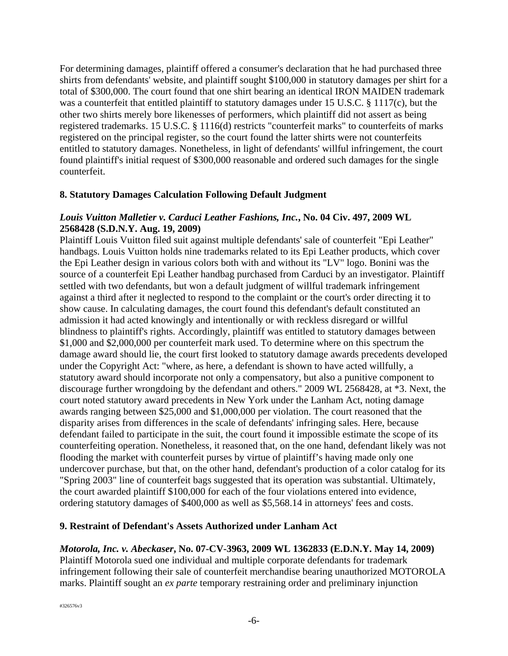For determining damages, plaintiff offered a consumer's declaration that he had purchased three shirts from defendants' website, and plaintiff sought \$100,000 in statutory damages per shirt for a total of \$300,000. The court found that one shirt bearing an identical IRON MAIDEN trademark was a counterfeit that entitled plaintiff to statutory damages under 15 U.S.C. § 1117(c), but the other two shirts merely bore likenesses of performers, which plaintiff did not assert as being registered trademarks. 15 U.S.C. § 1116(d) restricts "counterfeit marks" to counterfeits of marks registered on the principal register, so the court found the latter shirts were not counterfeits entitled to statutory damages. Nonetheless, in light of defendants' willful infringement, the court found plaintiff's initial request of \$300,000 reasonable and ordered such damages for the single counterfeit.

#### **8. Statutory Damages Calculation Following Default Judgment**

#### *Louis Vuitton Malletier v. Carduci Leather Fashions, Inc.***, No. 04 Civ. 497, 2009 WL 2568428 (S.D.N.Y. Aug. 19, 2009)**

Plaintiff Louis Vuitton filed suit against multiple defendants' sale of counterfeit "Epi Leather" handbags. Louis Vuitton holds nine trademarks related to its Epi Leather products, which cover the Epi Leather design in various colors both with and without its "LV" logo. Bonini was the source of a counterfeit Epi Leather handbag purchased from Carduci by an investigator. Plaintiff settled with two defendants, but won a default judgment of willful trademark infringement against a third after it neglected to respond to the complaint or the court's order directing it to show cause. In calculating damages, the court found this defendant's default constituted an admission it had acted knowingly and intentionally or with reckless disregard or willful blindness to plaintiff's rights. Accordingly, plaintiff was entitled to statutory damages between \$1,000 and \$2,000,000 per counterfeit mark used. To determine where on this spectrum the damage award should lie, the court first looked to statutory damage awards precedents developed under the Copyright Act: "where, as here, a defendant is shown to have acted willfully, a statutory award should incorporate not only a compensatory, but also a punitive component to discourage further wrongdoing by the defendant and others." 2009 WL 2568428, at \*3. Next, the court noted statutory award precedents in New York under the Lanham Act, noting damage awards ranging between \$25,000 and \$1,000,000 per violation. The court reasoned that the disparity arises from differences in the scale of defendants' infringing sales. Here, because defendant failed to participate in the suit, the court found it impossible estimate the scope of its counterfeiting operation. Nonetheless, it reasoned that, on the one hand, defendant likely was not flooding the market with counterfeit purses by virtue of plaintiff's having made only one undercover purchase, but that, on the other hand, defendant's production of a color catalog for its "Spring 2003" line of counterfeit bags suggested that its operation was substantial. Ultimately, the court awarded plaintiff \$100,000 for each of the four violations entered into evidence, ordering statutory damages of \$400,000 as well as \$5,568.14 in attorneys' fees and costs.

#### **9. Restraint of Defendant's Assets Authorized under Lanham Act**

#### *Motorola, Inc. v. Abeckaser***, No. 07-CV-3963, 2009 WL 1362833 (E.D.N.Y. May 14, 2009)**

Plaintiff Motorola sued one individual and multiple corporate defendants for trademark infringement following their sale of counterfeit merchandise bearing unauthorized MOTOROLA marks. Plaintiff sought an *ex parte* temporary restraining order and preliminary injunction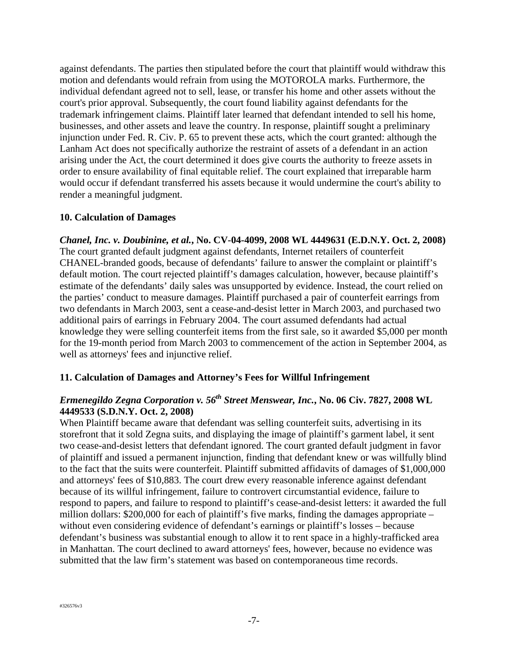against defendants. The parties then stipulated before the court that plaintiff would withdraw this motion and defendants would refrain from using the MOTOROLA marks. Furthermore, the individual defendant agreed not to sell, lease, or transfer his home and other assets without the court's prior approval. Subsequently, the court found liability against defendants for the trademark infringement claims. Plaintiff later learned that defendant intended to sell his home, businesses, and other assets and leave the country. In response, plaintiff sought a preliminary injunction under Fed. R. Civ. P. 65 to prevent these acts, which the court granted: although the Lanham Act does not specifically authorize the restraint of assets of a defendant in an action arising under the Act, the court determined it does give courts the authority to freeze assets in order to ensure availability of final equitable relief. The court explained that irreparable harm would occur if defendant transferred his assets because it would undermine the court's ability to render a meaningful judgment.

#### **10. Calculation of Damages**

*Chanel, Inc. v. Doubinine, et al.***, No. CV-04-4099, 2008 WL 4449631 (E.D.N.Y. Oct. 2, 2008)**  The court granted default judgment against defendants, Internet retailers of counterfeit CHANEL-branded goods, because of defendants' failure to answer the complaint or plaintiff's default motion. The court rejected plaintiff's damages calculation, however, because plaintiff's estimate of the defendants' daily sales was unsupported by evidence. Instead, the court relied on the parties' conduct to measure damages. Plaintiff purchased a pair of counterfeit earrings from two defendants in March 2003, sent a cease-and-desist letter in March 2003, and purchased two additional pairs of earrings in February 2004. The court assumed defendants had actual knowledge they were selling counterfeit items from the first sale, so it awarded \$5,000 per month for the 19-month period from March 2003 to commencement of the action in September 2004, as well as attorneys' fees and injunctive relief.

#### **11. Calculation of Damages and Attorney's Fees for Willful Infringement**

#### *Ermenegildo Zegna Corporation v. 56th Street Menswear, Inc.***, No. 06 Civ. 7827, 2008 WL 4449533 (S.D.N.Y. Oct. 2, 2008)**

When Plaintiff became aware that defendant was selling counterfeit suits, advertising in its storefront that it sold Zegna suits, and displaying the image of plaintiff's garment label, it sent two cease-and-desist letters that defendant ignored. The court granted default judgment in favor of plaintiff and issued a permanent injunction, finding that defendant knew or was willfully blind to the fact that the suits were counterfeit. Plaintiff submitted affidavits of damages of \$1,000,000 and attorneys' fees of \$10,883. The court drew every reasonable inference against defendant because of its willful infringement, failure to controvert circumstantial evidence, failure to respond to papers, and failure to respond to plaintiff's cease-and-desist letters: it awarded the full million dollars: \$200,000 for each of plaintiff's five marks, finding the damages appropriate – without even considering evidence of defendant's earnings or plaintiff's losses – because defendant's business was substantial enough to allow it to rent space in a highly-trafficked area in Manhattan. The court declined to award attorneys' fees, however, because no evidence was submitted that the law firm's statement was based on contemporaneous time records.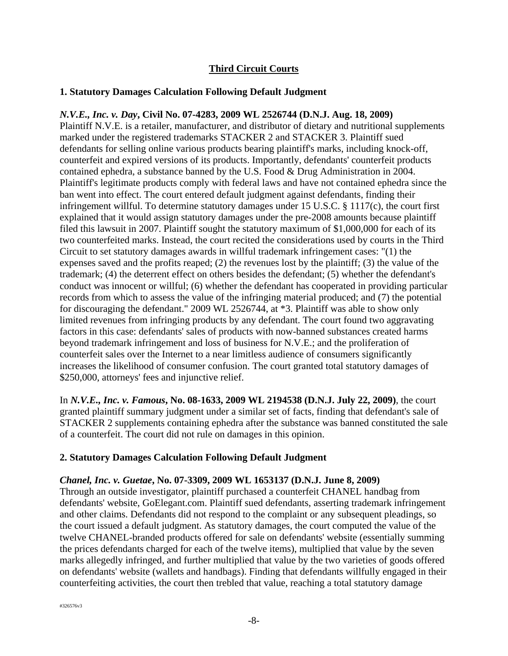#### **Third Circuit Courts**

#### **1. Statutory Damages Calculation Following Default Judgment**

### *N.V.E., Inc. v. Day***, Civil No. 07-4283, 2009 WL 2526744 (D.N.J. Aug. 18, 2009)**

Plaintiff N.V.E. is a retailer, manufacturer, and distributor of dietary and nutritional supplements marked under the registered trademarks STACKER 2 and STACKER 3. Plaintiff sued defendants for selling online various products bearing plaintiff's marks, including knock-off, counterfeit and expired versions of its products. Importantly, defendants' counterfeit products contained ephedra, a substance banned by the U.S. Food & Drug Administration in 2004. Plaintiff's legitimate products comply with federal laws and have not contained ephedra since the ban went into effect. The court entered default judgment against defendants, finding their infringement willful. To determine statutory damages under 15 U.S.C. § 1117(c), the court first explained that it would assign statutory damages under the pre-2008 amounts because plaintiff filed this lawsuit in 2007. Plaintiff sought the statutory maximum of \$1,000,000 for each of its two counterfeited marks. Instead, the court recited the considerations used by courts in the Third Circuit to set statutory damages awards in willful trademark infringement cases: "(1) the expenses saved and the profits reaped; (2) the revenues lost by the plaintiff; (3) the value of the trademark; (4) the deterrent effect on others besides the defendant; (5) whether the defendant's conduct was innocent or willful; (6) whether the defendant has cooperated in providing particular records from which to assess the value of the infringing material produced; and (7) the potential for discouraging the defendant." 2009 WL 2526744, at \*3. Plaintiff was able to show only limited revenues from infringing products by any defendant. The court found two aggravating factors in this case: defendants' sales of products with now-banned substances created harms beyond trademark infringement and loss of business for N.V.E.; and the proliferation of counterfeit sales over the Internet to a near limitless audience of consumers significantly increases the likelihood of consumer confusion. The court granted total statutory damages of \$250,000, attorneys' fees and injunctive relief.

In *N.V.E., Inc. v. Famous***, No. 08-1633, 2009 WL 2194538 (D.N.J. July 22, 2009)**, the court granted plaintiff summary judgment under a similar set of facts, finding that defendant's sale of STACKER 2 supplements containing ephedra after the substance was banned constituted the sale of a counterfeit. The court did not rule on damages in this opinion.

#### **2. Statutory Damages Calculation Following Default Judgment**

#### *Chanel, Inc. v. Guetae***, No. 07-3309, 2009 WL 1653137 (D.N.J. June 8, 2009)**

Through an outside investigator, plaintiff purchased a counterfeit CHANEL handbag from defendants' website, GoElegant.com. Plaintiff sued defendants, asserting trademark infringement and other claims. Defendants did not respond to the complaint or any subsequent pleadings, so the court issued a default judgment. As statutory damages, the court computed the value of the twelve CHANEL-branded products offered for sale on defendants' website (essentially summing the prices defendants charged for each of the twelve items), multiplied that value by the seven marks allegedly infringed, and further multiplied that value by the two varieties of goods offered on defendants' website (wallets and handbags). Finding that defendants willfully engaged in their counterfeiting activities, the court then trebled that value, reaching a total statutory damage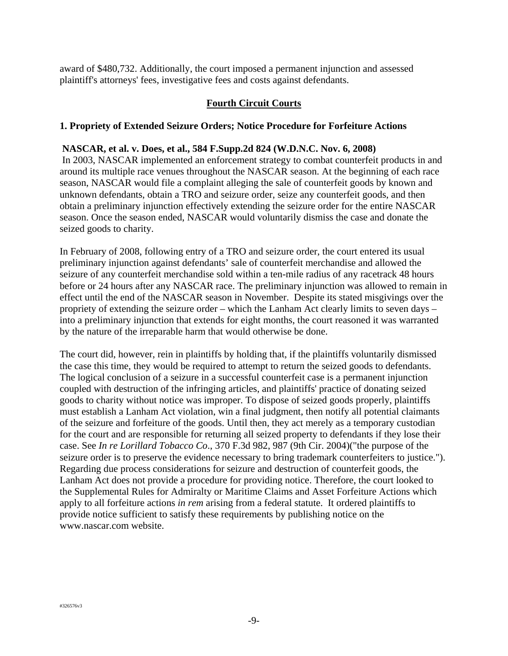award of \$480,732. Additionally, the court imposed a permanent injunction and assessed plaintiff's attorneys' fees, investigative fees and costs against defendants.

#### **Fourth Circuit Courts**

#### **1. Propriety of Extended Seizure Orders; Notice Procedure for Forfeiture Actions**

#### **NASCAR, et al. v. Does, et al., 584 F.Supp.2d 824 (W.D.N.C. Nov. 6, 2008)**

 In 2003, NASCAR implemented an enforcement strategy to combat counterfeit products in and around its multiple race venues throughout the NASCAR season. At the beginning of each race season, NASCAR would file a complaint alleging the sale of counterfeit goods by known and unknown defendants, obtain a TRO and seizure order, seize any counterfeit goods, and then obtain a preliminary injunction effectively extending the seizure order for the entire NASCAR season. Once the season ended, NASCAR would voluntarily dismiss the case and donate the seized goods to charity.

In February of 2008, following entry of a TRO and seizure order, the court entered its usual preliminary injunction against defendants' sale of counterfeit merchandise and allowed the seizure of any counterfeit merchandise sold within a ten-mile radius of any racetrack 48 hours before or 24 hours after any NASCAR race. The preliminary injunction was allowed to remain in effect until the end of the NASCAR season in November. Despite its stated misgivings over the propriety of extending the seizure order – which the Lanham Act clearly limits to seven days – into a preliminary injunction that extends for eight months, the court reasoned it was warranted by the nature of the irreparable harm that would otherwise be done.

The court did, however, rein in plaintiffs by holding that, if the plaintiffs voluntarily dismissed the case this time, they would be required to attempt to return the seized goods to defendants. The logical conclusion of a seizure in a successful counterfeit case is a permanent injunction coupled with destruction of the infringing articles, and plaintiffs' practice of donating seized goods to charity without notice was improper. To dispose of seized goods properly, plaintiffs must establish a Lanham Act violation, win a final judgment, then notify all potential claimants of the seizure and forfeiture of the goods. Until then, they act merely as a temporary custodian for the court and are responsible for returning all seized property to defendants if they lose their case. See *In re Lorillard Tobacco Co*., 370 F.3d 982, 987 (9th Cir. 2004)("the purpose of the seizure order is to preserve the evidence necessary to bring trademark counterfeiters to justice."). Regarding due process considerations for seizure and destruction of counterfeit goods, the Lanham Act does not provide a procedure for providing notice. Therefore, the court looked to the Supplemental Rules for Admiralty or Maritime Claims and Asset Forfeiture Actions which apply to all forfeiture actions *in rem* arising from a federal statute. It ordered plaintiffs to provide notice sufficient to satisfy these requirements by publishing notice on the www.nascar.com website.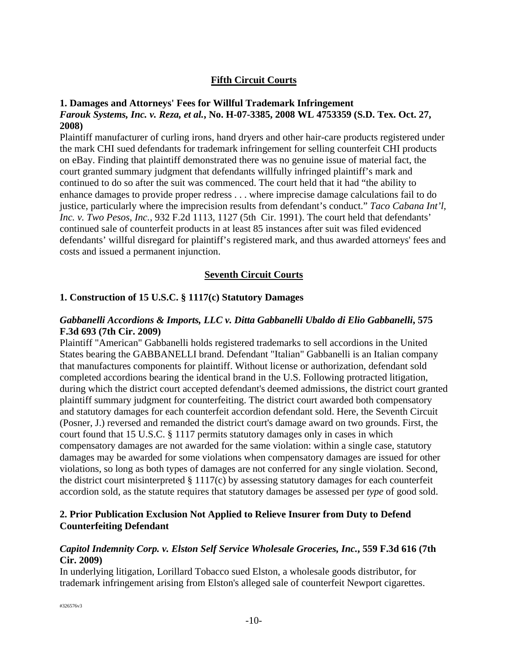#### **Fifth Circuit Courts**

#### **1. Damages and Attorneys' Fees for Willful Trademark Infringement**  *Farouk Systems, Inc. v. Reza, et al.***, No. H-07-3385, 2008 WL 4753359 (S.D. Tex. Oct. 27, 2008)**

Plaintiff manufacturer of curling irons, hand dryers and other hair-care products registered under the mark CHI sued defendants for trademark infringement for selling counterfeit CHI products on eBay. Finding that plaintiff demonstrated there was no genuine issue of material fact, the court granted summary judgment that defendants willfully infringed plaintiff's mark and continued to do so after the suit was commenced. The court held that it had "the ability to enhance damages to provide proper redress . . . where imprecise damage calculations fail to do justice, particularly where the imprecision results from defendant's conduct." *Taco Cabana Int'l, Inc. v. Two Pesos, Inc.*, 932 F.2d 1113, 1127 (5th Cir. 1991). The court held that defendants' continued sale of counterfeit products in at least 85 instances after suit was filed evidenced defendants' willful disregard for plaintiff's registered mark, and thus awarded attorneys' fees and costs and issued a permanent injunction.

#### **Seventh Circuit Courts**

#### **1. Construction of 15 U.S.C. § 1117(c) Statutory Damages**

#### *Gabbanelli Accordions & Imports, LLC v. Ditta Gabbanelli Ubaldo di Elio Gabbanelli***, 575 F.3d 693 (7th Cir. 2009)**

Plaintiff "American" Gabbanelli holds registered trademarks to sell accordions in the United States bearing the GABBANELLI brand. Defendant "Italian" Gabbanelli is an Italian company that manufactures components for plaintiff. Without license or authorization, defendant sold completed accordions bearing the identical brand in the U.S. Following protracted litigation, during which the district court accepted defendant's deemed admissions, the district court granted plaintiff summary judgment for counterfeiting. The district court awarded both compensatory and statutory damages for each counterfeit accordion defendant sold. Here, the Seventh Circuit (Posner, J.) reversed and remanded the district court's damage award on two grounds. First, the court found that 15 U.S.C. § 1117 permits statutory damages only in cases in which compensatory damages are not awarded for the same violation: within a single case, statutory damages may be awarded for some violations when compensatory damages are issued for other violations, so long as both types of damages are not conferred for any single violation. Second, the district court misinterpreted § 1117(c) by assessing statutory damages for each counterfeit accordion sold, as the statute requires that statutory damages be assessed per *type* of good sold.

#### **2. Prior Publication Exclusion Not Applied to Relieve Insurer from Duty to Defend Counterfeiting Defendant**

#### *Capitol Indemnity Corp. v. Elston Self Service Wholesale Groceries, Inc.***, 559 F.3d 616 (7th Cir. 2009)**

In underlying litigation, Lorillard Tobacco sued Elston, a wholesale goods distributor, for trademark infringement arising from Elston's alleged sale of counterfeit Newport cigarettes.

#326576v3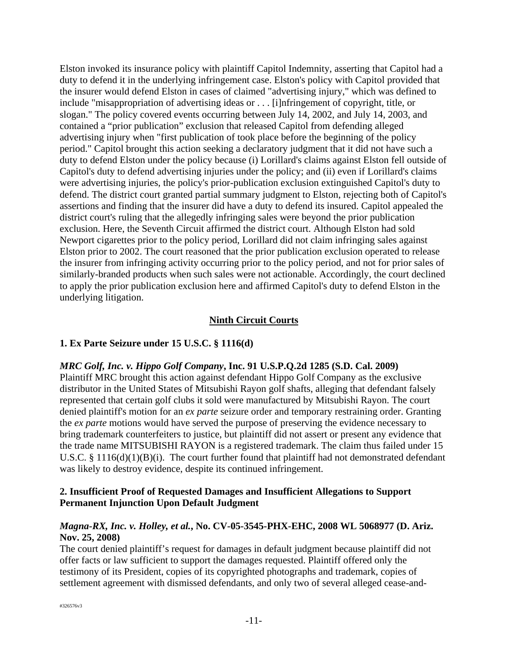Elston invoked its insurance policy with plaintiff Capitol Indemnity, asserting that Capitol had a duty to defend it in the underlying infringement case. Elston's policy with Capitol provided that the insurer would defend Elston in cases of claimed "advertising injury," which was defined to include "misappropriation of advertising ideas or . . . [i]nfringement of copyright, title, or slogan." The policy covered events occurring between July 14, 2002, and July 14, 2003, and contained a "prior publication" exclusion that released Capitol from defending alleged advertising injury when "first publication of took place before the beginning of the policy period." Capitol brought this action seeking a declaratory judgment that it did not have such a duty to defend Elston under the policy because (i) Lorillard's claims against Elston fell outside of Capitol's duty to defend advertising injuries under the policy; and (ii) even if Lorillard's claims were advertising injuries, the policy's prior-publication exclusion extinguished Capitol's duty to defend. The district court granted partial summary judgment to Elston, rejecting both of Capitol's assertions and finding that the insurer did have a duty to defend its insured. Capitol appealed the district court's ruling that the allegedly infringing sales were beyond the prior publication exclusion. Here, the Seventh Circuit affirmed the district court. Although Elston had sold Newport cigarettes prior to the policy period, Lorillard did not claim infringing sales against Elston prior to 2002. The court reasoned that the prior publication exclusion operated to release the insurer from infringing activity occurring prior to the policy period, and not for prior sales of similarly-branded products when such sales were not actionable. Accordingly, the court declined to apply the prior publication exclusion here and affirmed Capitol's duty to defend Elston in the underlying litigation.

#### **Ninth Circuit Courts**

#### **1. Ex Parte Seizure under 15 U.S.C. § 1116(d)**

#### *MRC Golf, Inc. v. Hippo Golf Company***, Inc. 91 U.S.P.Q.2d 1285 (S.D. Cal. 2009)**

Plaintiff MRC brought this action against defendant Hippo Golf Company as the exclusive distributor in the United States of Mitsubishi Rayon golf shafts, alleging that defendant falsely represented that certain golf clubs it sold were manufactured by Mitsubishi Rayon. The court denied plaintiff's motion for an *ex parte* seizure order and temporary restraining order. Granting the *ex parte* motions would have served the purpose of preserving the evidence necessary to bring trademark counterfeiters to justice, but plaintiff did not assert or present any evidence that the trade name MITSUBISHI RAYON is a registered trademark. The claim thus failed under 15 U.S.C. § 1116(d)(1)(B)(i). The court further found that plaintiff had not demonstrated defendant was likely to destroy evidence, despite its continued infringement.

#### **2. Insufficient Proof of Requested Damages and Insufficient Allegations to Support Permanent Injunction Upon Default Judgment**

#### *Magna-RX, Inc. v. Holley, et al.***, No. CV-05-3545-PHX-EHC, 2008 WL 5068977 (D. Ariz. Nov. 25, 2008)**

The court denied plaintiff's request for damages in default judgment because plaintiff did not offer facts or law sufficient to support the damages requested. Plaintiff offered only the testimony of its President, copies of its copyrighted photographs and trademark, copies of settlement agreement with dismissed defendants, and only two of several alleged cease-and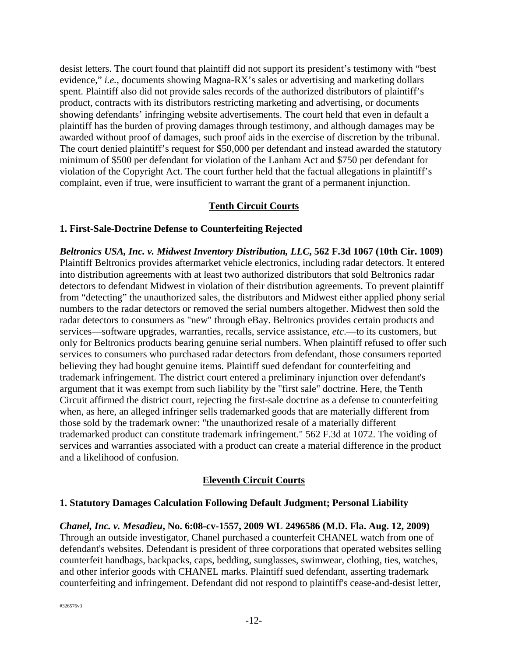desist letters. The court found that plaintiff did not support its president's testimony with "best evidence," *i.e.*, documents showing Magna-RX's sales or advertising and marketing dollars spent. Plaintiff also did not provide sales records of the authorized distributors of plaintiff's product, contracts with its distributors restricting marketing and advertising, or documents showing defendants' infringing website advertisements. The court held that even in default a plaintiff has the burden of proving damages through testimony, and although damages may be awarded without proof of damages, such proof aids in the exercise of discretion by the tribunal. The court denied plaintiff's request for \$50,000 per defendant and instead awarded the statutory minimum of \$500 per defendant for violation of the Lanham Act and \$750 per defendant for violation of the Copyright Act. The court further held that the factual allegations in plaintiff's complaint, even if true, were insufficient to warrant the grant of a permanent injunction.

#### **Tenth Circuit Courts**

#### **1. First-Sale-Doctrine Defense to Counterfeiting Rejected**

*Beltronics USA, Inc. v. Midwest Inventory Distribution, LLC***, 562 F.3d 1067 (10th Cir. 1009)**  Plaintiff Beltronics provides aftermarket vehicle electronics, including radar detectors. It entered into distribution agreements with at least two authorized distributors that sold Beltronics radar detectors to defendant Midwest in violation of their distribution agreements. To prevent plaintiff from "detecting" the unauthorized sales, the distributors and Midwest either applied phony serial numbers to the radar detectors or removed the serial numbers altogether. Midwest then sold the radar detectors to consumers as "new" through eBay. Beltronics provides certain products and services—software upgrades, warranties, recalls, service assistance, *etc*.—to its customers, but only for Beltronics products bearing genuine serial numbers. When plaintiff refused to offer such services to consumers who purchased radar detectors from defendant, those consumers reported believing they had bought genuine items. Plaintiff sued defendant for counterfeiting and trademark infringement. The district court entered a preliminary injunction over defendant's argument that it was exempt from such liability by the "first sale" doctrine. Here, the Tenth Circuit affirmed the district court, rejecting the first-sale doctrine as a defense to counterfeiting when, as here, an alleged infringer sells trademarked goods that are materially different from those sold by the trademark owner: "the unauthorized resale of a materially different trademarked product can constitute trademark infringement." 562 F.3d at 1072. The voiding of services and warranties associated with a product can create a material difference in the product and a likelihood of confusion.

#### **Eleventh Circuit Courts**

#### **1. Statutory Damages Calculation Following Default Judgment; Personal Liability**

*Chanel, Inc. v. Mesadieu***, No. 6:08-cv-1557, 2009 WL 2496586 (M.D. Fla. Aug. 12, 2009)**

Through an outside investigator, Chanel purchased a counterfeit CHANEL watch from one of defendant's websites. Defendant is president of three corporations that operated websites selling counterfeit handbags, backpacks, caps, bedding, sunglasses, swimwear, clothing, ties, watches, and other inferior goods with CHANEL marks. Plaintiff sued defendant, asserting trademark counterfeiting and infringement. Defendant did not respond to plaintiff's cease-and-desist letter,